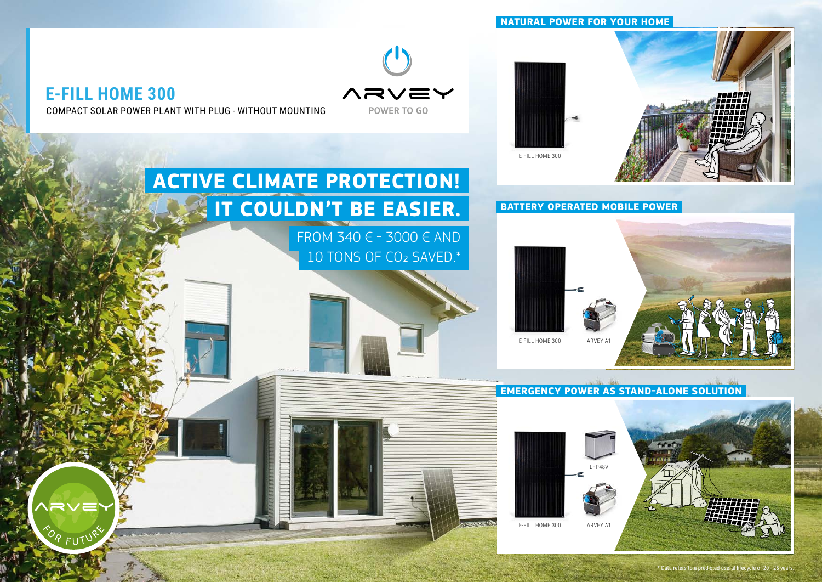### **NATURAL POWER FOR YOUR HOME**



**ACTIVE CLIMATE PROTECTION!**

**IT COULDN'T BE EASIER.**

FROM 340 € - 3000 € AND

10 TONS OF CO2 SAVED.\*

**CARD AND COMPANY** 



Ά <sub>FU</sub>TÝ

COMPACT SOLAR POWER PLANT WITH PLUG - WITHOUT MOUNTING



**BATTERY OPERATED MOBILE POWER**